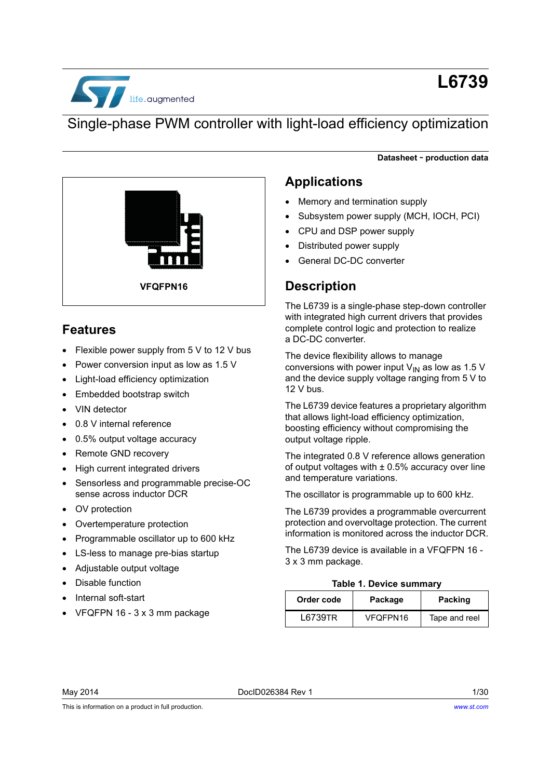

# **L6739**

**Datasheet** - **production data**

## Single-phase PWM controller with light-load efficiency optimization



### **Features**

• Flexible power supply from 5 V to 12 V bus

**VFQFPN16**

- Power conversion input as low as 1.5 V
- Light-load efficiency optimization
- Embedded bootstrap switch
- VIN detector
- 0.8 V internal reference
- 0.5% output voltage accuracy
- Remote GND recovery
- High current integrated drivers
- Sensorless and programmable precise-OC sense across inductor DCR
- OV protection
- Overtemperature protection
- Programmable oscillator up to 600 kHz
- LS-less to manage pre-bias startup
- Adjustable output voltage
- Disable function
- Internal soft-start
- VFQFPN 16 3 x 3 mm package

### **Applications**

- Memory and termination supply
- Subsystem power supply (MCH, IOCH, PCI)
- CPU and DSP power supply
- Distributed power supply
- General DC-DC converter

### **Description**

The L6739 is a single-phase step-down controller with integrated high current drivers that provides complete control logic and protection to realize a DC-DC converter.

The device flexibility allows to manage conversions with power input  $V_{IN}$  as low as 1.5 V and the device supply voltage ranging from 5 V to 12 V bus.

The L6739 device features a proprietary algorithm that allows light-load efficiency optimization, boosting efficiency without compromising the output voltage ripple.

The integrated 0.8 V reference allows generation of output voltages with  $\pm$  0.5% accuracy over line and temperature variations.

The oscillator is programmable up to 600 kHz.

The L6739 provides a programmable overcurrent protection and overvoltage protection. The current information is monitored across the inductor DCR.

The L6739 device is available in a VFQFPN 16 - 3 x 3 mm package.

#### **Table 1. Device summary**

| Order code | Package  | Packing       |
|------------|----------|---------------|
| L6739TR    | VFQFPN16 | Tape and reel |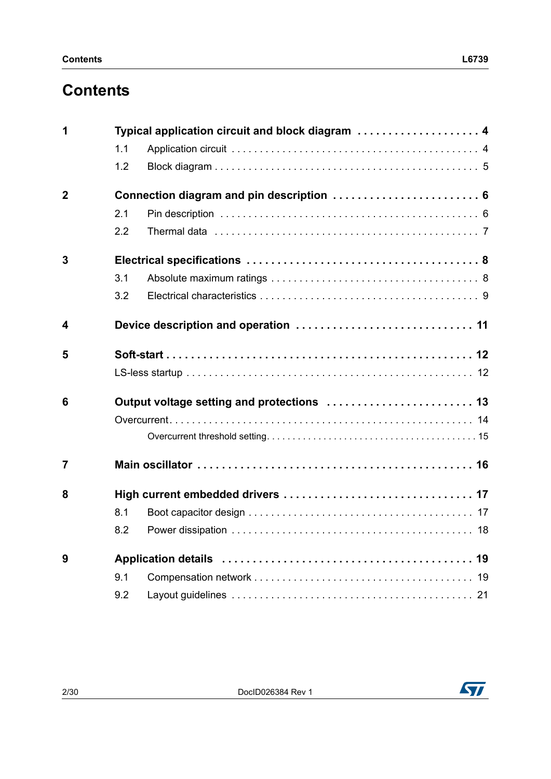# **Contents**

| 1              |     | Typical application circuit and block diagram  4 |
|----------------|-----|--------------------------------------------------|
|                | 1.1 |                                                  |
|                | 1.2 |                                                  |
| $\overline{2}$ |     | Connection diagram and pin description  6        |
|                | 2.1 |                                                  |
|                | 2.2 |                                                  |
| 3              |     |                                                  |
|                | 3.1 |                                                  |
|                | 3.2 |                                                  |
| 4              |     |                                                  |
| 5              |     |                                                  |
|                |     |                                                  |
| 6              |     | Output voltage setting and protections  13       |
|                |     |                                                  |
|                |     |                                                  |
| $\overline{7}$ |     |                                                  |
| 8              |     | High current embedded drivers  17                |
|                | 8.1 |                                                  |
|                | 8.2 |                                                  |
| 9              |     |                                                  |
|                | 9.1 |                                                  |
|                | 9.2 |                                                  |

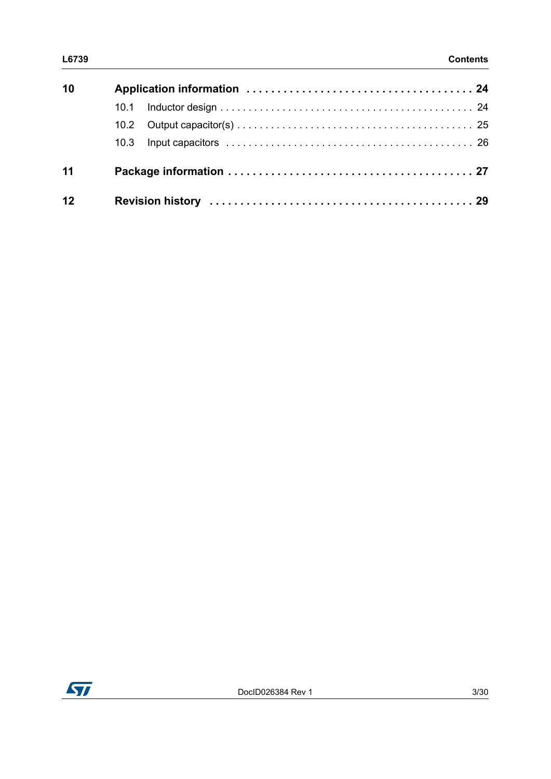| L6739 | <b>Contents</b> |
|-------|-----------------|
|       |                 |

| 10 |  |
|----|--|
|    |  |
|    |  |
|    |  |
| 11 |  |
| 12 |  |

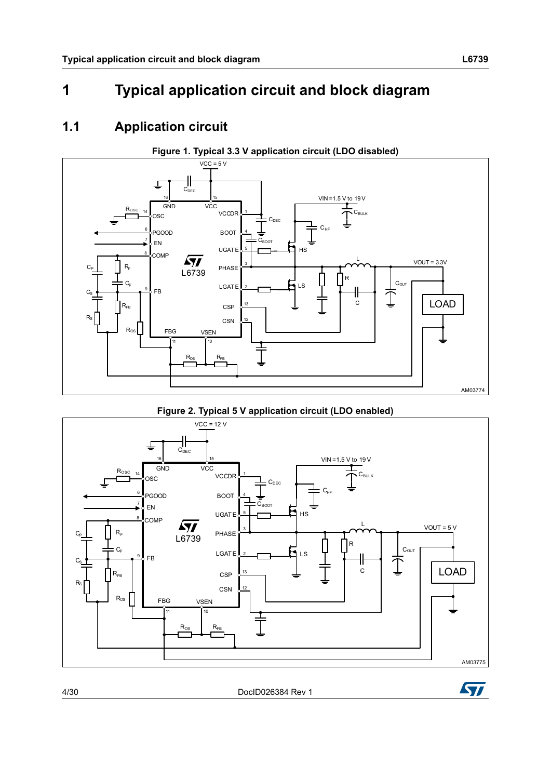# <span id="page-3-0"></span>**1 Typical application circuit and block diagram**

### <span id="page-3-1"></span>**1.1 Application circuit**

<span id="page-3-2"></span>

**Figure 2. Typical 5 V application circuit (LDO enabled)**







ST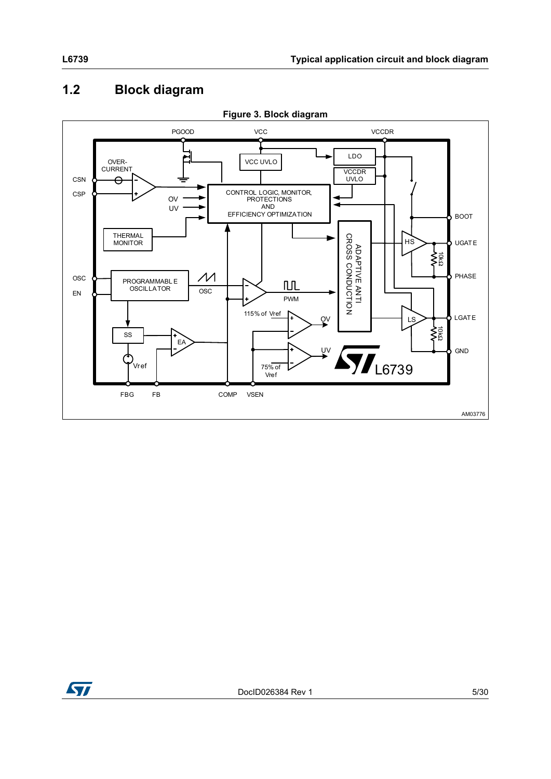# <span id="page-4-0"></span>**1.2 Block diagram**



**Figure 3. Block diagram**

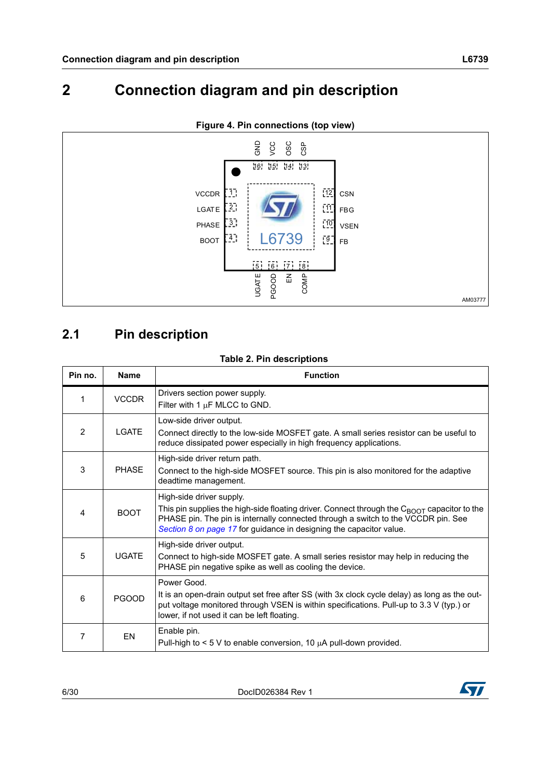# <span id="page-5-0"></span>**2 Connection diagram and pin description**



#### **Figure 4. Pin connections (top view)**

## <span id="page-5-1"></span>**2.1 Pin description**

#### **Table 2. Pin descriptions**

| Pin no. | <b>Name</b>  | <b>Function</b>                                                                                                                                                                                                                                                                                 |  |
|---------|--------------|-------------------------------------------------------------------------------------------------------------------------------------------------------------------------------------------------------------------------------------------------------------------------------------------------|--|
| 1       | <b>VCCDR</b> | Drivers section power supply.<br>Filter with 1 $\mu$ F MLCC to GND.                                                                                                                                                                                                                             |  |
| 2       | LGATE        | Low-side driver output.<br>Connect directly to the low-side MOSFET gate. A small series resistor can be useful to<br>reduce dissipated power especially in high frequency applications.                                                                                                         |  |
| 3       | <b>PHASE</b> | High-side driver return path.<br>Connect to the high-side MOSFET source. This pin is also monitored for the adaptive<br>deadtime management.                                                                                                                                                    |  |
| 4       | <b>BOOT</b>  | High-side driver supply.<br>This pin supplies the high-side floating driver. Connect through the C <sub>BOOT</sub> capacitor to the<br>PHASE pin. The pin is internally connected through a switch to the VCCDR pin. See<br>Section 8 on page 17 for guidance in designing the capacitor value. |  |
| 5       | <b>UGATE</b> | High-side driver output.<br>Connect to high-side MOSFET gate. A small series resistor may help in reducing the<br>PHASE pin negative spike as well as cooling the device.                                                                                                                       |  |
| 6       | <b>PGOOD</b> | Power Good.<br>It is an open-drain output set free after SS (with 3x clock cycle delay) as long as the out-<br>put voltage monitored through VSEN is within specifications. Pull-up to 3.3 V (typ.) or<br>lower, if not used it can be left floating.                                           |  |
| 7       | EN           | Enable pin.<br>Pull-high to $\leq$ 5 V to enable conversion, 10 $\mu$ A pull-down provided.                                                                                                                                                                                                     |  |

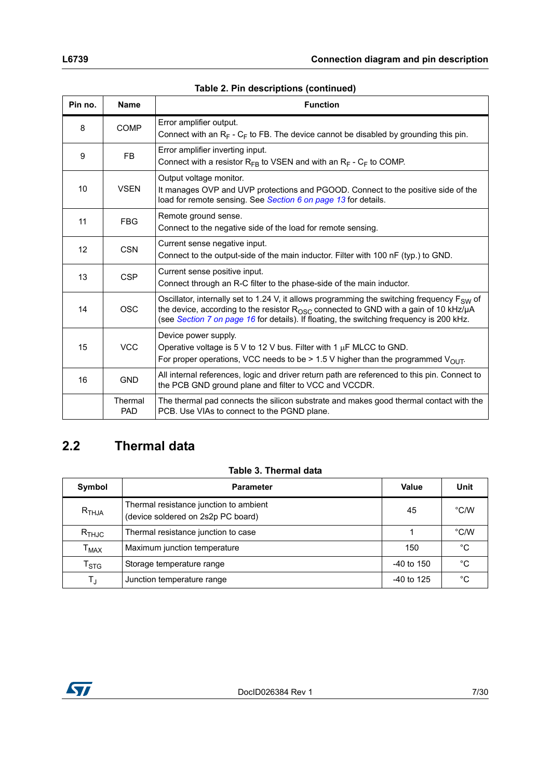| Pin no. | <b>Name</b>           | <b>Function</b>                                                                                                                                                                                                                                                                                    |  |
|---------|-----------------------|----------------------------------------------------------------------------------------------------------------------------------------------------------------------------------------------------------------------------------------------------------------------------------------------------|--|
| 8       | <b>COMP</b>           | Error amplifier output.<br>Connect with an $R_F$ - $C_F$ to FB. The device cannot be disabled by grounding this pin.                                                                                                                                                                               |  |
| 9       | FB.                   | Error amplifier inverting input.<br>Connect with a resistor $R_{FB}$ to VSEN and with an $R_F$ - $C_F$ to COMP.                                                                                                                                                                                    |  |
| 10      | <b>VSEN</b>           | Output voltage monitor.<br>It manages OVP and UVP protections and PGOOD. Connect to the positive side of the<br>load for remote sensing. See Section 6 on page 13 for details.                                                                                                                     |  |
| 11      | <b>FBG</b>            | Remote ground sense.<br>Connect to the negative side of the load for remote sensing.                                                                                                                                                                                                               |  |
| 12      | <b>CSN</b>            | Current sense negative input.<br>Connect to the output-side of the main inductor. Filter with 100 nF (typ.) to GND.                                                                                                                                                                                |  |
| 13      | <b>CSP</b>            | Current sense positive input.<br>Connect through an R-C filter to the phase-side of the main inductor.                                                                                                                                                                                             |  |
| 14      | <b>OSC</b>            | Oscillator, internally set to 1.24 V, it allows programming the switching frequency $F_{SW}$ of<br>the device, according to the resistor $R_{\rm OSC}$ connected to GND with a gain of 10 kHz/ $\mu$ A<br>(see Section 7 on page 16 for details). If floating, the switching frequency is 200 kHz. |  |
| 15      | <b>VCC</b>            | Device power supply.<br>Operative voltage is 5 V to 12 V bus. Filter with 1 $\mu$ F MLCC to GND.<br>For proper operations, VCC needs to be > 1.5 V higher than the programmed $V_{O[1]T}$ .                                                                                                        |  |
| 16      | <b>GND</b>            | All internal references, logic and driver return path are referenced to this pin. Connect to<br>the PCB GND ground plane and filter to VCC and VCCDR.                                                                                                                                              |  |
|         | Thermal<br><b>PAD</b> | The thermal pad connects the silicon substrate and makes good thermal contact with the<br>PCB. Use VIAs to connect to the PGND plane.                                                                                                                                                              |  |

#### **Table 2. Pin descriptions (continued)**

### <span id="page-6-0"></span>**2.2 Thermal data**

#### **Table 3. Thermal data**

| Symbol                      | <b>Parameter</b>                                                             | Value        | Unit          |
|-----------------------------|------------------------------------------------------------------------------|--------------|---------------|
| $R$ <sub>THJA</sub>         | Thermal resistance junction to ambient<br>(device soldered on 2s2p PC board) | °C/W<br>45   |               |
| $R$ <sub>THJC</sub>         | Thermal resistance junction to case                                          |              | $\degree$ C/W |
| $\mathsf{T}_{\mathsf{MAX}}$ | Maximum junction temperature                                                 | 150          | °C            |
| $\mathsf{T}_{\textsf{STG}}$ | Storage temperature range                                                    | $-40$ to 150 | °C            |
| $\mathsf{T}_\mathsf{J}$     | Junction temperature range<br>$-40$ to 125                                   |              | °€            |

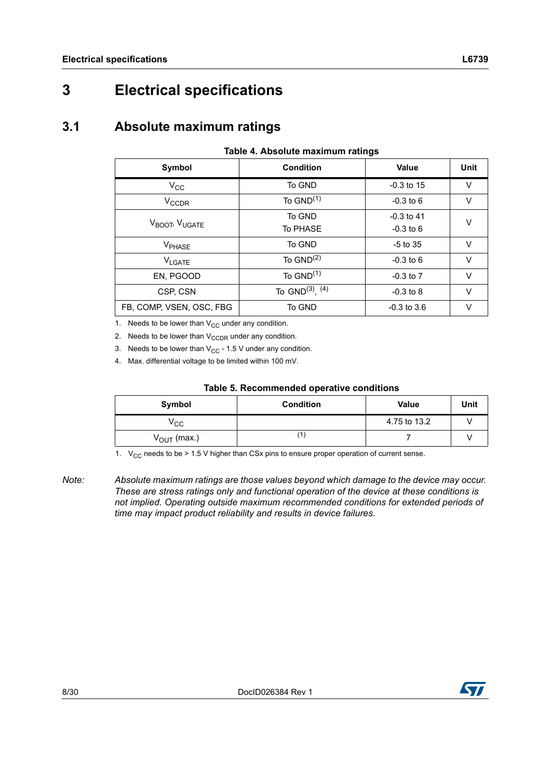# <span id="page-7-0"></span>**3 Electrical specifications**

### <span id="page-7-1"></span>**3.1 Absolute maximum ratings**

#### **Table 4. Absolute maximum ratings**

| Symbol                                 | <b>Condition</b>       | <b>Value</b>    | Unit   |  |
|----------------------------------------|------------------------|-----------------|--------|--|
| $V_{\rm CC}$                           | To GND                 | $-0.3$ to 15    | $\vee$ |  |
| <b>V<sub>CCDR</sub></b>                | To $GND^{(1)}$         | $-0.3$ to 6     | v      |  |
|                                        | To GND                 | $-0.3$ to 41    | $\vee$ |  |
| V <sub>BOOT</sub> , V <sub>UGATE</sub> | <b>To PHASE</b>        | $-0.3$ to 6     |        |  |
| V <sub>PHASE</sub>                     | To GND                 | $-5$ to 35      | $\vee$ |  |
| VLGATE                                 | To $GND(2)$            | $-0.3$ to 6     | $\vee$ |  |
| EN, PGOOD                              | To $GND^{(1)}$         | $-0.3$ to $7$   | $\vee$ |  |
| CSP, CSN                               | To $GND^{(3)}$ , $(4)$ | $-0.3$ to 8     | $\vee$ |  |
| FB, COMP, VSEN, OSC, FBG               | To GND                 | $-0.3$ to $3.6$ |        |  |

<span id="page-7-2"></span>1. Needs to be lower than  $V_{CC}$  under any condition.

2. Needs to be lower than  $V_{CCDR}$  under any condition.

3. Needs to be lower than  $V_{CC}$  - 1.5 V under any condition.

4. Max. differential voltage to be limited within 100 mV.

| Table 5. Recommended operative conditions |  |
|-------------------------------------------|--|
|-------------------------------------------|--|

| Symbol                  | <b>Condition</b> | <b>Value</b> | Unit |
|-------------------------|------------------|--------------|------|
| Vcc                     |                  | 4.75 to 13.2 |      |
| $V_{\text{OUT}}$ (max.) |                  |              |      |

1.  $V_{\text{CC}}$  needs to be > 1.5 V higher than CSx pins to ensure proper operation of current sense.

*Note: Absolute maximum ratings are those values beyond which damage to the device may occur. These are stress ratings only and functional operation of the device at these conditions is not implied. Operating outside maximum recommended conditions for extended periods of time may impact product reliability and results in device failures.*

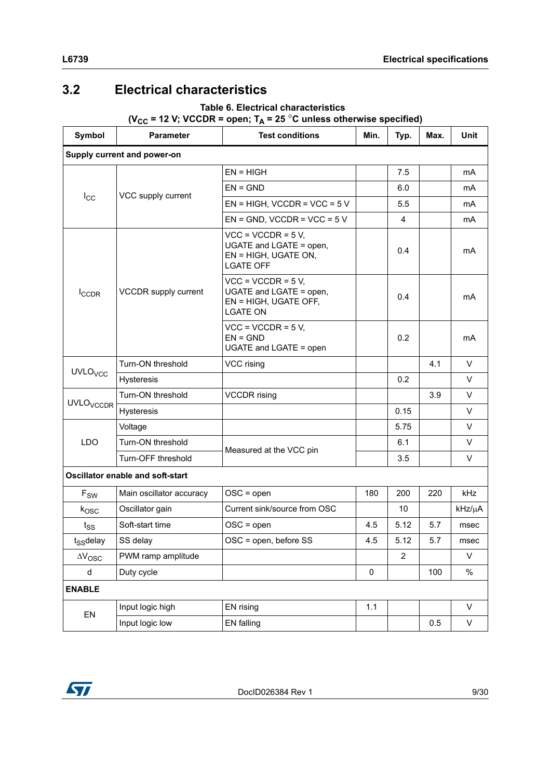# <span id="page-8-0"></span>**3.2 Electrical characteristics**

### **Table 6. Electrical characteristics**   $(V_{CC} = 12 \text{ V}; VCCDR = open; T_A = 25 \text{ °C}$  unless otherwise specified)

| Symbol                      | <b>Parameter</b>                 | <b>Test conditions</b>                                                                      | Min.      | Typ.           | Max. | <b>Unit</b> |
|-----------------------------|----------------------------------|---------------------------------------------------------------------------------------------|-----------|----------------|------|-------------|
| Supply current and power-on |                                  |                                                                                             |           |                |      |             |
|                             |                                  | $EN = HIGH$                                                                                 |           | 7.5            |      | mA          |
|                             |                                  | $EN = GND$                                                                                  |           | 6.0            |      | mA          |
| $I_{\rm CC}$                | VCC supply current               | $EN = HIGH$ , VCCDR = VCC = 5 V                                                             |           | 5.5            |      | mA          |
|                             |                                  | $EN = GND$ , VCCDR = VCC = 5 V                                                              |           | 4              |      | mA          |
|                             | VCCDR supply current             | $VCC = VCCDR = 5 V,$<br>UGATE and LGATE = open,<br>EN = HIGH, UGATE ON,<br><b>LGATE OFF</b> |           | 0.4            |      | mA          |
| I <sub>CCDR</sub>           |                                  | $VCC = VCCDR = 5 V,$<br>UGATE and LGATE = open,<br>EN = HIGH, UGATE OFF,<br><b>LGATE ON</b> |           | 0.4            |      | mA          |
|                             |                                  | $VCC = VCCDR = 5 V,$<br>$EN = GND$<br>UGATE and LGATE = open                                |           | 0.2            |      | mA          |
|                             | Turn-ON threshold                | VCC rising                                                                                  |           |                | 4.1  | V           |
| <b>UVLO<sub>VCC</sub></b>   | Hysteresis                       |                                                                                             |           | 0.2            |      | V           |
| <b>UVLO<sub>VCCDR</sub></b> | Turn-ON threshold                | <b>VCCDR</b> rising                                                                         |           |                | 3.9  | V           |
|                             | Hysteresis                       |                                                                                             |           | 0.15           |      | V           |
|                             | Voltage                          |                                                                                             |           | 5.75           |      | V           |
| <b>LDO</b>                  | Turn-ON threshold                | Measured at the VCC pin                                                                     |           | 6.1            |      | V           |
|                             | Turn-OFF threshold               |                                                                                             |           | 3.5            |      | V           |
|                             | Oscillator enable and soft-start |                                                                                             |           |                |      |             |
| $\mathsf{F}_{\mathsf{SW}}$  | Main oscillator accuracy         | $OSC = open$                                                                                | 180       | 200            | 220  | kHz         |
| $k_{\text{OSC}}$            | Oscillator gain                  | Current sink/source from OSC                                                                |           | 10             |      | kHz/µA      |
| $t_{SS}$                    | Soft-start time                  | $OSC = open$                                                                                | 4.5       | 5.12           | 5.7  | msec        |
| $t_{SS}$ delay              | SS delay                         | OSC = open, before SS                                                                       | 4.5       | 5.12           | 5.7  | msec        |
| $\Delta\rm{V}_{\rm{OSC}}$   | PWM ramp amplitude               |                                                                                             |           | $\overline{2}$ |      | V           |
| d                           | Duty cycle                       |                                                                                             | $\pmb{0}$ |                | 100  | $\%$        |
| <b>ENABLE</b>               |                                  |                                                                                             |           |                |      |             |
|                             | Input logic high                 | EN rising                                                                                   | 1.1       |                |      | V           |
| EN                          | Input logic low                  | <b>EN</b> falling                                                                           |           |                | 0.5  | V           |

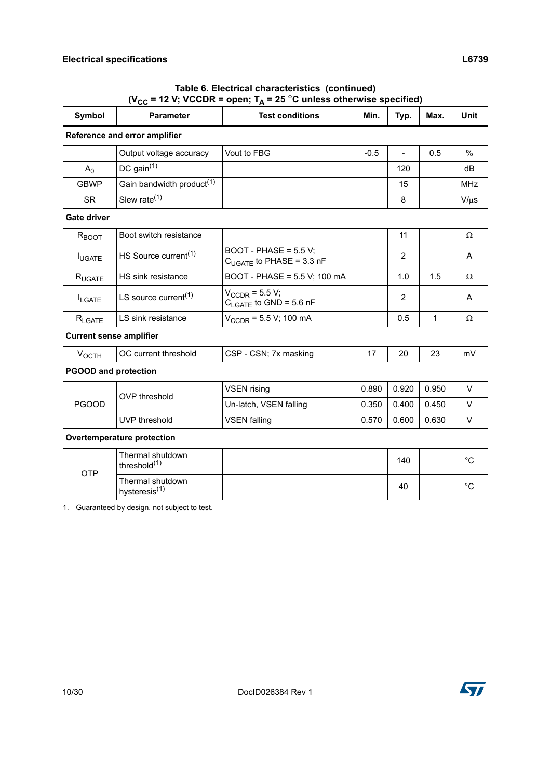| Table 6. Electrical characteristics (continued)                            |
|----------------------------------------------------------------------------|
| ( $V_{CC}$ = 12 V; VCCDR = open; $T_A$ = 25 °C unless otherwise specified) |

| Symbol                         | <b>Parameter</b>                              | <b>Test conditions</b>                                    | Min.   | Typ.           | Max.  | <b>Unit</b> |  |  |
|--------------------------------|-----------------------------------------------|-----------------------------------------------------------|--------|----------------|-------|-------------|--|--|
| Reference and error amplifier  |                                               |                                                           |        |                |       |             |  |  |
|                                | Output voltage accuracy                       | Vout to FBG                                               | $-0.5$ | $\overline{a}$ | 0.5   | $\%$        |  |  |
| A <sub>0</sub>                 | DC gain $(1)$                                 |                                                           |        | 120            |       | dB          |  |  |
| <b>GBWP</b>                    | Gain bandwidth product <sup>(1)</sup>         |                                                           |        | 15             |       | <b>MHz</b>  |  |  |
| <b>SR</b>                      | Slew rate $(1)$                               |                                                           |        | 8              |       | $V/\mu s$   |  |  |
| Gate driver                    |                                               |                                                           |        |                |       |             |  |  |
| R <sub>BOOT</sub>              | Boot switch resistance                        |                                                           |        | 11             |       | $\Omega$    |  |  |
| <b>IUGATE</b>                  | HS Source current <sup>(1)</sup>              | BOOT - PHASE = $5.5$ V;<br>$C_{UGATE}$ to PHASE = 3.3 nF  |        | 2              |       | A           |  |  |
| R <sub>UGATE</sub>             | HS sink resistance                            | BOOT - PHASE = 5.5 V; 100 mA                              |        | 1.0            | 1.5   | $\Omega$    |  |  |
| <b>I</b> LGATE                 | LS source current <sup><math>(1)</math></sup> | $V_{CCDR}$ = 5.5 V;<br>$C_{\text{LGATE}}$ to GND = 5.6 nF |        | 2              |       | A           |  |  |
| $R_{\text{LGATE}}$             | LS sink resistance                            | $V_{CCDR}$ = 5.5 V; 100 mA                                |        | 0.5            | 1     | Ω           |  |  |
| <b>Current sense amplifier</b> |                                               |                                                           |        |                |       |             |  |  |
| $V_{OCTH}$                     | OC current threshold                          | CSP - CSN; 7x masking                                     | 17     | 20             | 23    | mV          |  |  |
| <b>PGOOD and protection</b>    |                                               |                                                           |        |                |       |             |  |  |
| <b>PGOOD</b>                   | <b>OVP</b> threshold                          | <b>VSEN</b> rising                                        | 0.890  | 0.920          | 0.950 | $\vee$      |  |  |
|                                |                                               | Un-latch, VSEN falling                                    | 0.350  | 0.400          | 0.450 | $\vee$      |  |  |
|                                | UVP threshold                                 | <b>VSEN falling</b>                                       | 0.570  | 0.600          | 0.630 | V           |  |  |
| Overtemperature protection     |                                               |                                                           |        |                |       |             |  |  |
| <b>OTP</b>                     | Thermal shutdown<br>threshold $(1)$           |                                                           |        | 140            |       | $^{\circ}C$ |  |  |
|                                | Thermal shutdown<br>hysteresis <sup>(1)</sup> |                                                           |        | 40             |       | $^{\circ}C$ |  |  |

1. Guaranteed by design, not subject to test.

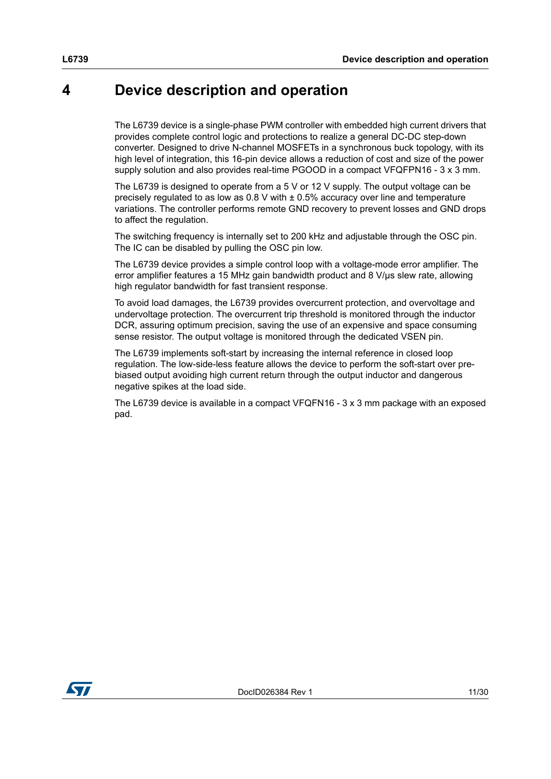## <span id="page-10-0"></span>**4 Device description and operation**

The L6739 device is a single-phase PWM controller with embedded high current drivers that provides complete control logic and protections to realize a general DC-DC step-down converter. Designed to drive N-channel MOSFETs in a synchronous buck topology, with its high level of integration, this 16-pin device allows a reduction of cost and size of the power supply solution and also provides real-time PGOOD in a compact VFQFPN16 - 3 x 3 mm.

The L6739 is designed to operate from a 5 V or 12 V supply. The output voltage can be precisely regulated to as low as  $0.8$  V with  $\pm$  0.5% accuracy over line and temperature variations. The controller performs remote GND recovery to prevent losses and GND drops to affect the regulation.

The switching frequency is internally set to 200 kHz and adjustable through the OSC pin. The IC can be disabled by pulling the OSC pin low.

The L6739 device provides a simple control loop with a voltage-mode error amplifier. The error amplifier features a 15 MHz gain bandwidth product and 8 V/µs slew rate, allowing high regulator bandwidth for fast transient response.

To avoid load damages, the L6739 provides overcurrent protection, and overvoltage and undervoltage protection. The overcurrent trip threshold is monitored through the inductor DCR, assuring optimum precision, saving the use of an expensive and space consuming sense resistor. The output voltage is monitored through the dedicated VSEN pin.

The L6739 implements soft-start by increasing the internal reference in closed loop regulation. The low-side-less feature allows the device to perform the soft-start over prebiased output avoiding high current return through the output inductor and dangerous negative spikes at the load side.

The L6739 device is available in a compact VFQFN16 - 3 x 3 mm package with an exposed pad.

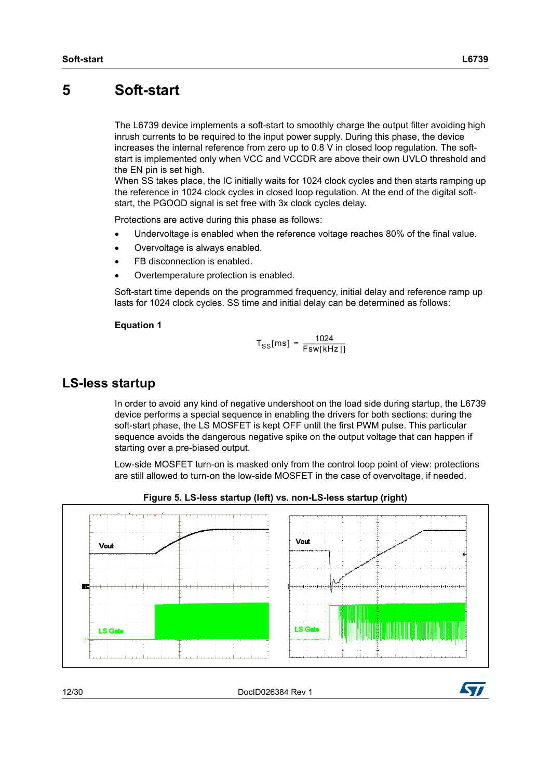<span id="page-11-0"></span>The L6739 device implements a soft-start to smoothly charge the output filter avoiding high inrush currents to be required to the input power supply. During this phase, the device increases the internal reference from zero up to 0.8 V in closed loop regulation. The softstart is implemented only when VCC and VCCDR are above their own UVLO threshold and the EN pin is set high.

When SS takes place, the IC initially waits for 1024 clock cycles and then starts ramping up the reference in 1024 clock cycles in closed loop regulation. At the end of the digital softstart, the PGOOD signal is set free with 3x clock cycles delay.

Protections are active during this phase as follows:

- Undervoltage is enabled when the reference voltage reaches 80% of the final value.
- Overvoltage is always enabled.
- FB disconnection is enabled.
- Overtemperature protection is enabled.

Soft-start time depends on the programmed frequency, initial delay and reference ramp up lasts for 1024 clock cycles. SS time and initial delay can be determined as follows:

#### **Equation 1**

$$
T_{SS}[ms] = \frac{1024}{Fsw[kHz]]}
$$

### <span id="page-11-1"></span>**LS-less startup**

In order to avoid any kind of negative undershoot on the load side during startup, the L6739 device performs a special sequence in enabling the drivers for both sections: during the soft-start phase, the LS MOSFET is kept OFF until the first PWM pulse. This particular sequence avoids the dangerous negative spike on the output voltage that can happen if starting over a pre-biased output.

Low-side MOSFET turn-on is masked only from the control loop point of view: protections are still allowed to turn-on the low-side MOSFET in the case of overvoltage, if needed.



**Figure 5. LS-less startup (left) vs. non-LS-less startup (right)**

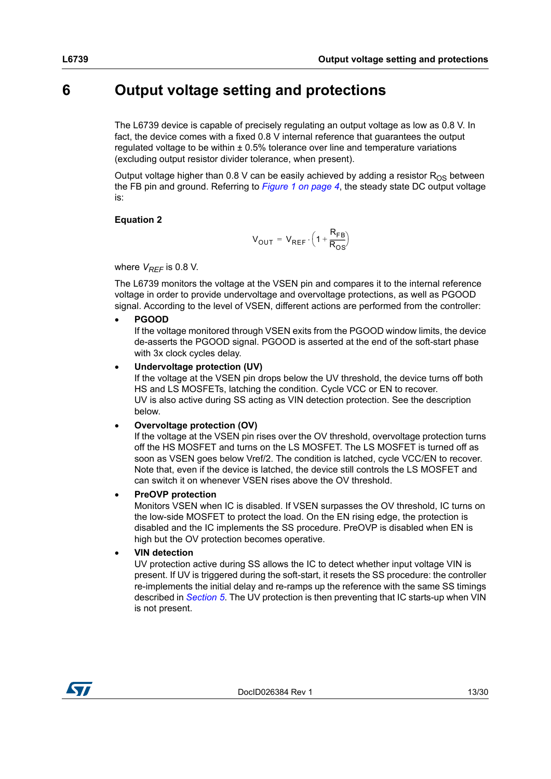## <span id="page-12-0"></span>**6 Output voltage setting and protections**

The L6739 device is capable of precisely regulating an output voltage as low as 0.8 V. In fact, the device comes with a fixed 0.8 V internal reference that guarantees the output regulated voltage to be within  $\pm 0.5\%$  tolerance over line and temperature variations (excluding output resistor divider tolerance, when present).

Output voltage higher than 0.8 V can be easily achieved by adding a resistor  $R_{OS}$  between the FB pin and ground. Referring to *[Figure 1 on page 4](#page-3-2)*, the steady state DC output voltage is:

#### **Equation 2**

$$
V_{OUT} = V_{REF} \cdot \left(1 + \frac{R_{FB}}{R_{OS}}\right)
$$

where  $V_{REF}$  is 0.8 V.

The L6739 monitors the voltage at the VSEN pin and compares it to the internal reference voltage in order to provide undervoltage and overvoltage protections, as well as PGOOD signal. According to the level of VSEN, different actions are performed from the controller:

**PGOOD**

If the voltage monitored through VSEN exits from the PGOOD window limits, the device de-asserts the PGOOD signal. PGOOD is asserted at the end of the soft-start phase with 3x clock cycles delay.

#### **Undervoltage protection (UV)**

If the voltage at the VSEN pin drops below the UV threshold, the device turns off both HS and LS MOSFETs, latching the condition. Cycle VCC or EN to recover. UV is also active during SS acting as VIN detection protection. See the description below.

#### **Overvoltage protection (OV)**

If the voltage at the VSEN pin rises over the OV threshold, overvoltage protection turns off the HS MOSFET and turns on the LS MOSFET. The LS MOSFET is turned off as soon as VSEN goes below Vref/2. The condition is latched, cycle VCC/EN to recover. Note that, even if the device is latched, the device still controls the LS MOSFET and can switch it on whenever VSEN rises above the OV threshold.

#### **PreOVP protection**

Monitors VSEN when IC is disabled. If VSEN surpasses the OV threshold, IC turns on the low-side MOSFET to protect the load. On the EN rising edge, the protection is disabled and the IC implements the SS procedure. PreOVP is disabled when EN is high but the OV protection becomes operative.

**VIN detection**

UV protection active during SS allows the IC to detect whether input voltage VIN is present. If UV is triggered during the soft-start, it resets the SS procedure: the controller re-implements the initial delay and re-ramps up the reference with the same SS timings described in *[Section 5](#page-11-0)*. The UV protection is then preventing that IC starts-up when VIN is not present.

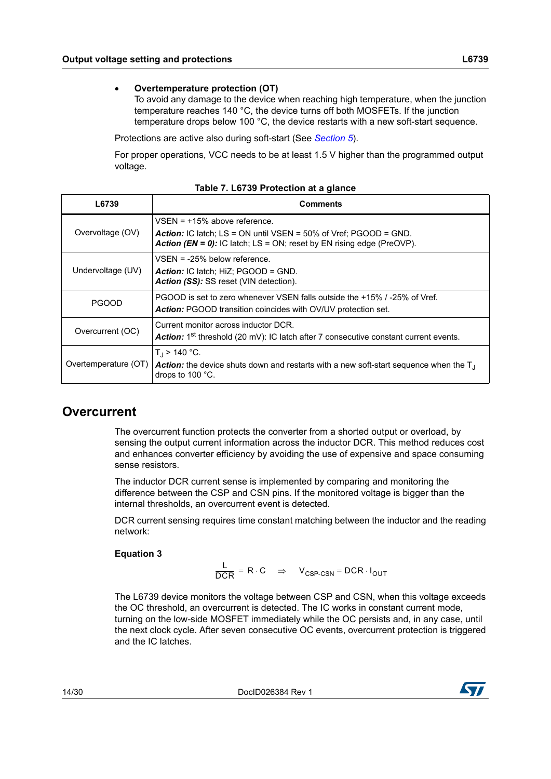To avoid any damage to the device when reaching high temperature, when the junction temperature reaches 140 °C, the device turns off both MOSFETs. If the junction temperature drops below 100 °C, the device restarts with a new soft-start sequence.

Protections are active also during soft-start (See *[Section 5](#page-11-0)*).

For proper operations, VCC needs to be at least 1.5 V higher than the programmed output voltage.

| L6739             | <b>Comments</b>                                                                                                                                                                                   |  |  |
|-------------------|---------------------------------------------------------------------------------------------------------------------------------------------------------------------------------------------------|--|--|
| Overvoltage (OV)  | $VSEN = +15%$ above reference.<br><b>Action:</b> IC latch; $LS = ON$ until $VSEN = 50\%$ of Vref; $PGOOD = GND$ .<br><b>Action (EN = 0):</b> IC latch; LS = ON; reset by EN rising edge (PreOVP). |  |  |
| Undervoltage (UV) | $VSEN = -25%$ below reference.<br><b>Action:</b> IC latch: HiZ: $PGOOD = GND$ .<br><b>Action (SS):</b> SS reset (VIN detection).                                                                  |  |  |
| <b>PGOOD</b>      | PGOOD is set to zero whenever VSEN falls outside the +15% /-25% of Vref.<br><b>Action:</b> PGOOD transition coincides with OV/UV protection set.                                                  |  |  |
| Overcurrent (OC)  | Current monitor across inductor DCR.<br>Action: 1 <sup>st</sup> threshold (20 mV): IC latch after 7 consecutive constant current events.                                                          |  |  |
|                   | $T_1$ > 140 °C.<br>Overtemperature (OT) $ $ Action: the device shuts down and restarts with a new soft-start sequence when the T <sub>J</sub><br>drops to $100^{\circ}$ C.                        |  |  |

**Table 7. L6739 Protection at a glance**

### <span id="page-13-0"></span>**Overcurrent**

The overcurrent function protects the converter from a shorted output or overload, by sensing the output current information across the inductor DCR. This method reduces cost and enhances converter efficiency by avoiding the use of expensive and space consuming sense resistors.

The inductor DCR current sense is implemented by comparing and monitoring the difference between the CSP and CSN pins. If the monitored voltage is bigger than the internal thresholds, an overcurrent event is detected.

DCR current sensing requires time constant matching between the inductor and the reading network:

#### **Equation 3**

 $\frac{\mathsf{L}}{\mathsf{DCR}} = \mathsf{R} \cdot \mathsf{C} \Rightarrow \mathsf{V}_{\mathsf{CSP\text{-}CSN}} = \mathsf{DCR} \cdot \mathsf{I}_{\mathsf{OUT}}$ 

The L6739 device monitors the voltage between CSP and CSN, when this voltage exceeds the OC threshold, an overcurrent is detected. The IC works in constant current mode, turning on the low-side MOSFET immediately while the OC persists and, in any case, until the next clock cycle. After seven consecutive OC events, overcurrent protection is triggered and the IC latches.

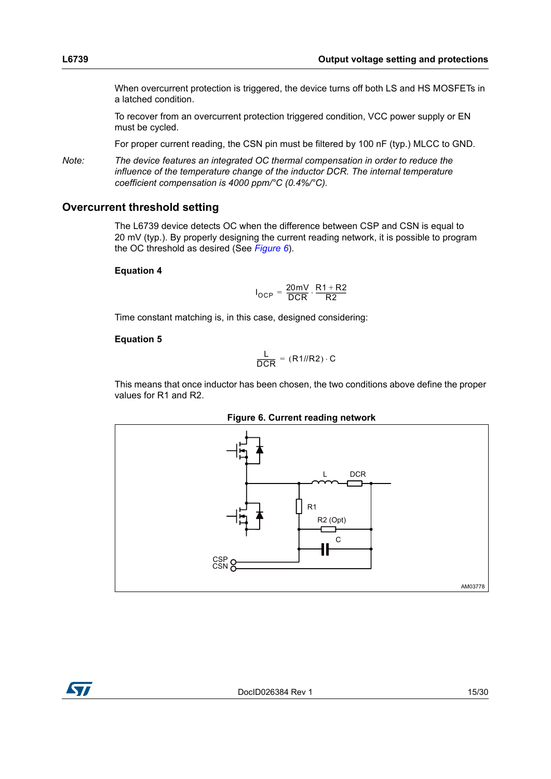When overcurrent protection is triggered, the device turns off both LS and HS MOSFETs in a latched condition.

To recover from an overcurrent protection triggered condition, VCC power supply or EN must be cycled.

For proper current reading, the CSN pin must be filtered by 100 nF (typ.) MLCC to GND.

*Note: The device features an integrated OC thermal compensation in order to reduce the influence of the temperature change of the inductor DCR. The internal temperature coefficient compensation is 4000 ppm/°C (0.4%/°C).*

#### <span id="page-14-0"></span>**Overcurrent threshold setting**

The L6739 device detects OC when the difference between CSP and CSN is equal to 20 mV (typ.). By properly designing the current reading network, it is possible to program the OC threshold as desired (See *[Figure 6](#page-14-1)*).

#### **Equation 4**

$$
I_{OCP} = \frac{20mV}{DCR} \cdot \frac{R1 + R2}{R2}
$$

Time constant matching is, in this case, designed considering:

#### **Equation 5**

$$
\frac{\mathsf{L}}{\mathsf{DCR}} = (\mathsf{R1} / \mathsf{R2}) \cdot \mathsf{C}
$$

This means that once inductor has been chosen, the two conditions above define the proper values for R1 and R2.

<span id="page-14-1"></span>

**Figure 6. Current reading network**

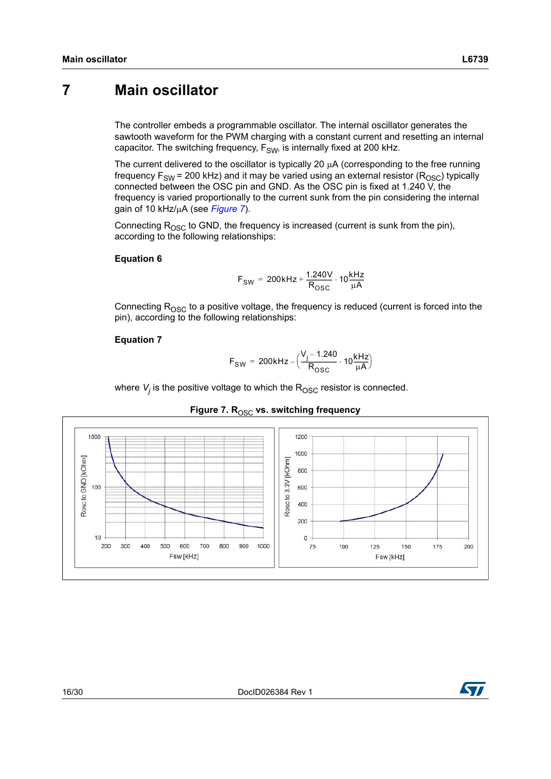### <span id="page-15-0"></span>**7 Main oscillator**

The controller embeds a programmable oscillator. The internal oscillator generates the sawtooth waveform for the PWM charging with a constant current and resetting an internal capacitor. The switching frequency,  $F_{SW}$ , is internally fixed at 200 kHz.

The current delivered to the oscillator is typically 20  $\mu$ A (corresponding to the free running frequency  $F_{SW}$  = 200 kHz) and it may be varied using an external resistor ( $R_{OSC}$ ) typically connected between the OSC pin and GND. As the OSC pin is fixed at 1.240 V, the frequency is varied proportionally to the current sunk from the pin considering the internal gain of 10 kHz/μA (see *[Figure 7](#page-15-1)*).

Connecting  $R_{\text{OSC}}$  to GND, the frequency is increased (current is sunk from the pin), according to the following relationships:

#### **Equation 6**

$$
F_{SW} = 200kHz + \frac{1.240V}{R_{OSC}} \cdot 10 \frac{kHz}{\mu A}
$$

Connecting  $R<sub>OSC</sub>$  to a positive voltage, the frequency is reduced (current is forced into the pin), according to the following relationships:

#### **Equation 7**

$$
F_{SW} = 200 \, \text{kHz} - \Big(\frac{V_j - 1.240}{R_{OSC}} \cdot 10 \frac{\text{kHz}}{\mu \text{A}}\Big)
$$

where  $V_{j}$  is the positive voltage to which the  $\mathsf{R}_{\mathsf{OSC}}$  resistor is connected.

<span id="page-15-1"></span>

#### Figure 7. R<sub>OSC</sub> vs. switching frequency

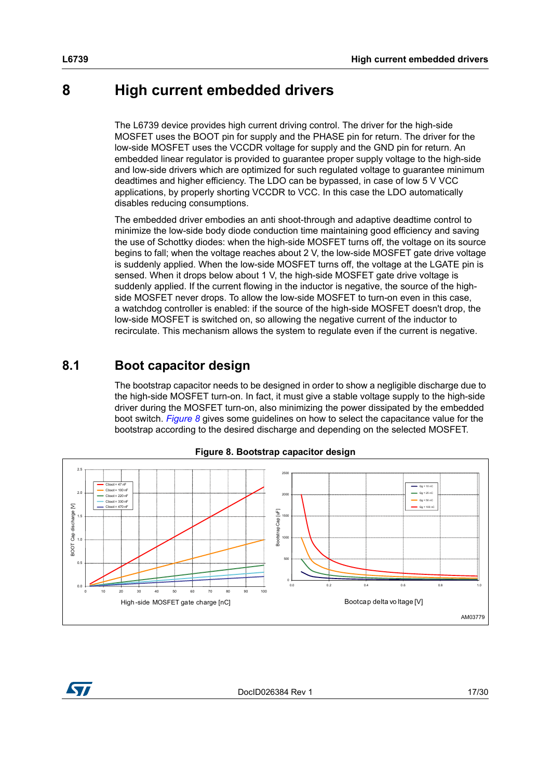### <span id="page-16-0"></span>**8 High current embedded drivers**

The L6739 device provides high current driving control. The driver for the high-side MOSFET uses the BOOT pin for supply and the PHASE pin for return. The driver for the low-side MOSFET uses the VCCDR voltage for supply and the GND pin for return. An embedded linear regulator is provided to guarantee proper supply voltage to the high-side and low-side drivers which are optimized for such regulated voltage to guarantee minimum deadtimes and higher efficiency. The LDO can be bypassed, in case of low 5 V VCC applications, by properly shorting VCCDR to VCC. In this case the LDO automatically disables reducing consumptions.

The embedded driver embodies an anti shoot-through and adaptive deadtime control to minimize the low-side body diode conduction time maintaining good efficiency and saving the use of Schottky diodes: when the high-side MOSFET turns off, the voltage on its source begins to fall; when the voltage reaches about 2 V, the low-side MOSFET gate drive voltage is suddenly applied. When the low-side MOSFET turns off, the voltage at the LGATE pin is sensed. When it drops below about 1 V, the high-side MOSFET gate drive voltage is suddenly applied. If the current flowing in the inductor is negative, the source of the highside MOSFET never drops. To allow the low-side MOSFET to turn-on even in this case, a watchdog controller is enabled: if the source of the high-side MOSFET doesn't drop, the low-side MOSFET is switched on, so allowing the negative current of the inductor to recirculate. This mechanism allows the system to regulate even if the current is negative.

### <span id="page-16-1"></span>**8.1 Boot capacitor design**

The bootstrap capacitor needs to be designed in order to show a negligible discharge due to the high-side MOSFET turn-on. In fact, it must give a stable voltage supply to the high-side driver during the MOSFET turn-on, also minimizing the power dissipated by the embedded boot switch. *[Figure 8](#page-16-2)* gives some guidelines on how to select the capacitance value for the bootstrap according to the desired discharge and depending on the selected MOSFET.

<span id="page-16-2"></span>



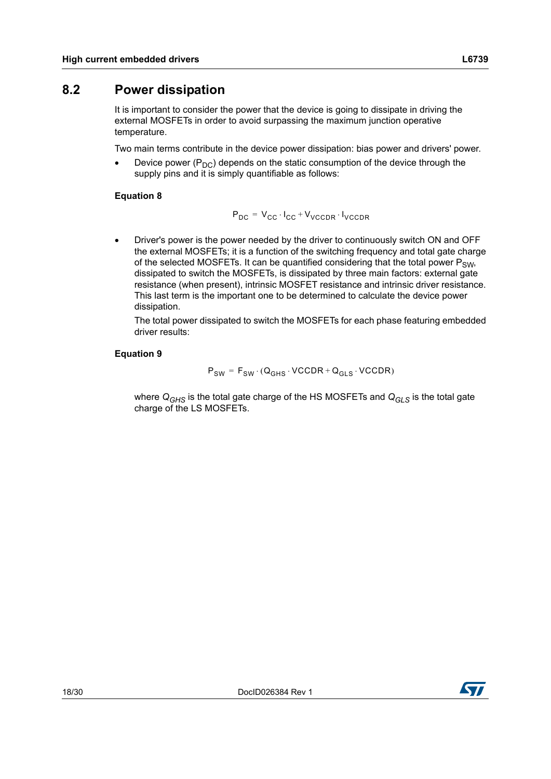### <span id="page-17-0"></span>**8.2 Power dissipation**

It is important to consider the power that the device is going to dissipate in driving the external MOSFETs in order to avoid surpassing the maximum junction operative temperature.

Two main terms contribute in the device power dissipation: bias power and drivers' power.

Device power  $(P_{DC})$  depends on the static consumption of the device through the supply pins and it is simply quantifiable as follows:

### **Equation 8**

$$
P_{DC} = V_{CC} \cdot I_{CC} + V_{VCCDR} \cdot I_{VCCDR}
$$

 Driver's power is the power needed by the driver to continuously switch ON and OFF the external MOSFETs; it is a function of the switching frequency and total gate charge of the selected MOSFETs. It can be quantified considering that the total power  $P_{SW}$ dissipated to switch the MOSFETs, is dissipated by three main factors: external gate resistance (when present), intrinsic MOSFET resistance and intrinsic driver resistance. This last term is the important one to be determined to calculate the device power dissipation.

The total power dissipated to switch the MOSFETs for each phase featuring embedded driver results:

#### **Equation 9**

$$
P_{SW} = F_{SW} \cdot (Q_{GHS} \cdot VCCDR + Q_{GLS} \cdot VCCDR)
$$

where *QGHS* is the total gate charge of the HS MOSFETs and *QGLS* is the total gate charge of the LS MOSFETs.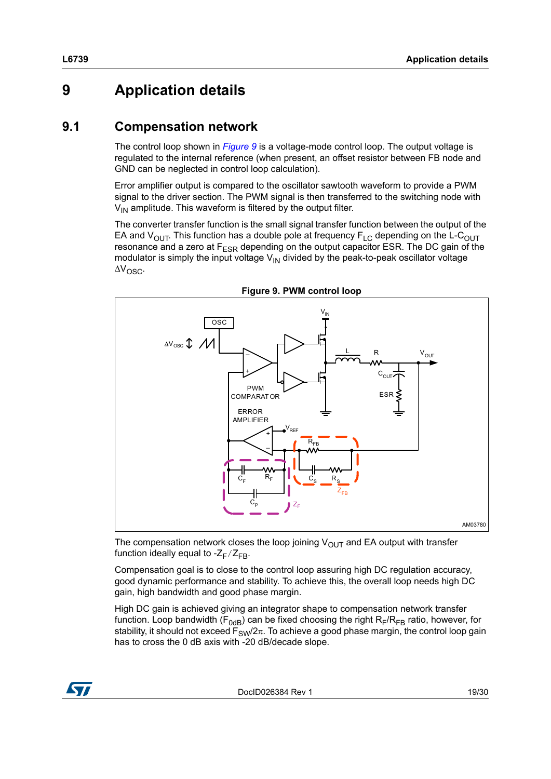# <span id="page-18-0"></span>**9 Application details**

### <span id="page-18-1"></span>**9.1 Compensation network**

The control loop shown in *[Figure 9](#page-18-2)* is a voltage-mode control loop. The output voltage is regulated to the internal reference (when present, an offset resistor between FB node and GND can be neglected in control loop calculation).

Error amplifier output is compared to the oscillator sawtooth waveform to provide a PWM signal to the driver section. The PWM signal is then transferred to the switching node with  $V_{IN}$  amplitude. This waveform is filtered by the output filter.

The converter transfer function is the small signal transfer function between the output of the EA and  $V_{\text{OUT}}$ . This function has a double pole at frequency  $F_{LC}$  depending on the L-C<sub>OUT</sub> resonance and a zero at  $F_{ESR}$  depending on the output capacitor ESR. The DC gain of the modulator is simply the input voltage  $V_{\text{IN}}$  divided by the peak-to-peak oscillator voltage  $\Delta V_{\rm OSC}$ .

<span id="page-18-2"></span>

**Figure 9. PWM control loop**

The compensation network closes the loop joining  $V_{OUT}$  and EA output with transfer function ideally equal to - $Z_F/Z_{FB}$ .

Compensation goal is to close to the control loop assuring high DC regulation accuracy, good dynamic performance and stability. To achieve this, the overall loop needs high DC gain, high bandwidth and good phase margin.

High DC gain is achieved giving an integrator shape to compensation network transfer function. Loop bandwidth ( $F_{0dB}$ ) can be fixed choosing the right  $R_F/R_{FB}$  ratio, however, for stability, it should not exceed  $F_{SW}/2\pi$ . To achieve a good phase margin, the control loop gain has to cross the 0 dB axis with -20 dB/decade slope.



DocID026384 Rev 1 19/30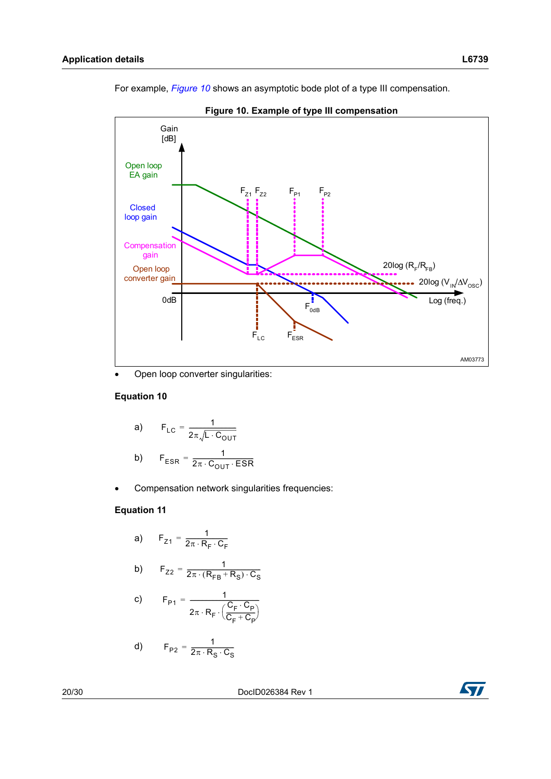For example, *[Figure 10](#page-19-0)* shows an asymptotic bode plot of a type III compensation.



<span id="page-19-0"></span>

Open loop converter singularities:

#### **Equation 10**

a) 
$$
F_{LC} = \frac{1}{2\pi\sqrt{L \cdot C_{OUT}}}
$$
  
b) 
$$
F_{ESR} = \frac{1}{2\pi \cdot C_{OUT} \cdot ESR}
$$

Compensation network singularities frequencies:

#### **Equation 11**

a)  $F_{Z1} = \frac{1}{2\pi \cdot R_F \cdot C_F}$ 

b) 
$$
F_{Z2} = \frac{1}{2\pi \cdot (R_{FB} + R_S) \cdot C_S}
$$

c) 
$$
F_{P1} = \frac{1}{2\pi \cdot R_F \cdot \left(\frac{C_F \cdot C_P}{C_F + C_P}\right)}
$$

d) 
$$
F_{P2} = \frac{1}{2\pi \cdot R_S \cdot C_S}
$$

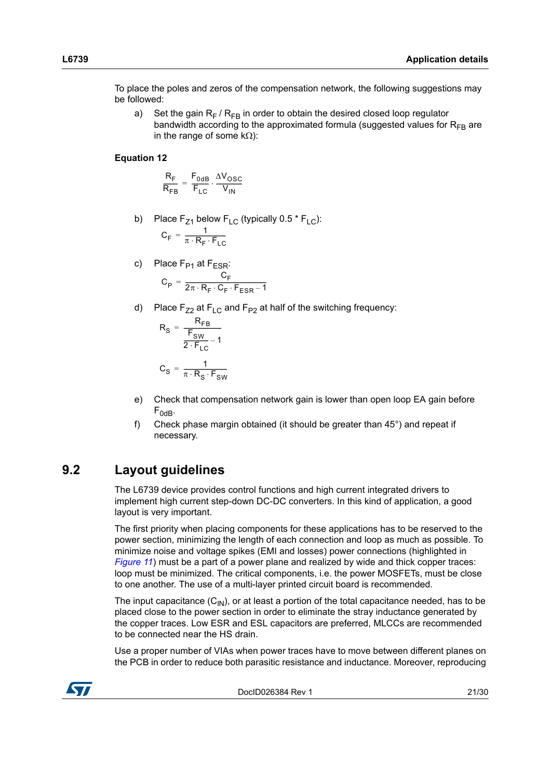To place the poles and zeros of the compensation network, the following suggestions may be followed:

a) Set the gain  $R_F$  /  $R_{FR}$  in order to obtain the desired closed loop regulator bandwidth according to the approximated formula (suggested values for  $R_{FR}$  are in the range of some  $k\Omega$ ):

#### **Equation 12**

$$
\frac{R_F}{R_{FB}} = \frac{F_{0dB}}{F_{LC}} \cdot \frac{\Delta V_{OSC}}{V_{IN}}
$$

- b) Place  $F_{Z1}$  below  $F_{LC}$  (typically 0.5  $*$   $F_{LC}$ ):  $C_F = \frac{1}{\pi \cdot R_F \cdot F_{LC}}$
- c) Place F<sub>P1</sub> at F<sub>ESR</sub>:  $C_{\rm P} = \frac{C_{\rm F}}{2\pi \cdot R_{\rm F} \cdot C_{\rm F} \cdot F_{\rm ESR} - 1}$
- d) Place  $F_{Z2}$  at  $F_{LC}$  and  $F_{P2}$  at half of the switching frequency:

$$
R_{S} = \frac{R_{FB}}{\frac{F_{SW}}{2 \cdot F_{LC}} - 1}
$$

$$
C_{S} = \frac{1}{\pi \cdot R_{S} \cdot F_{SW}}
$$

- e) Check that compensation network gain is lower than open loop EA gain before  $F_{0dB}$ .
- f) Check phase margin obtained (it should be greater than 45°) and repeat if necessary.

### <span id="page-20-0"></span>**9.2 Layout guidelines**

The L6739 device provides control functions and high current integrated drivers to implement high current step-down DC-DC converters. In this kind of application, a good layout is very important.

The first priority when placing components for these applications has to be reserved to the power section, minimizing the length of each connection and loop as much as possible. To minimize noise and voltage spikes (EMI and losses) power connections (highlighted in *[Figure 11](#page-21-0)*) must be a part of a power plane and realized by wide and thick copper traces: loop must be minimized. The critical components, i.e. the power MOSFETs, must be close to one another. The use of a multi-layer printed circuit board is recommended.

The input capacitance  $(C_{1N})$ , or at least a portion of the total capacitance needed, has to be placed close to the power section in order to eliminate the stray inductance generated by the copper traces. Low ESR and ESL capacitors are preferred, MLCCs are recommended to be connected near the HS drain.

Use a proper number of VIAs when power traces have to move between different planes on the PCB in order to reduce both parasitic resistance and inductance. Moreover, reproducing

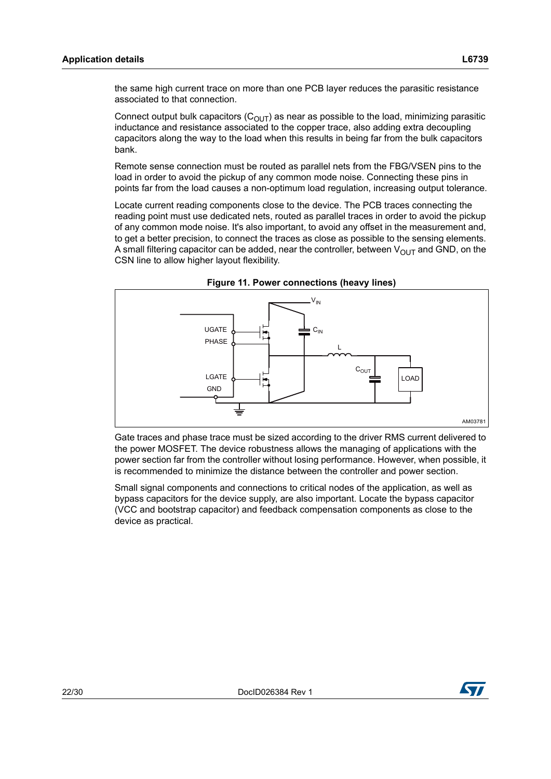Connect output bulk capacitors  $(C_{OUT})$  as near as possible to the load, minimizing parasitic inductance and resistance associated to the copper trace, also adding extra decoupling capacitors along the way to the load when this results in being far from the bulk capacitors bank.

Remote sense connection must be routed as parallel nets from the FBG/VSEN pins to the load in order to avoid the pickup of any common mode noise. Connecting these pins in points far from the load causes a non-optimum load regulation, increasing output tolerance.

Locate current reading components close to the device. The PCB traces connecting the reading point must use dedicated nets, routed as parallel traces in order to avoid the pickup of any common mode noise. It's also important, to avoid any offset in the measurement and, to get a better precision, to connect the traces as close as possible to the sensing elements. A small filtering capacitor can be added, near the controller, between  $V_{\text{OUT}}$  and GND, on the CSN line to allow higher layout flexibility.

<span id="page-21-0"></span>



Gate traces and phase trace must be sized according to the driver RMS current delivered to the power MOSFET. The device robustness allows the managing of applications with the power section far from the controller without losing performance. However, when possible, it is recommended to minimize the distance between the controller and power section.

Small signal components and connections to critical nodes of the application, as well as bypass capacitors for the device supply, are also important. Locate the bypass capacitor (VCC and bootstrap capacitor) and feedback compensation components as close to the device as practical.

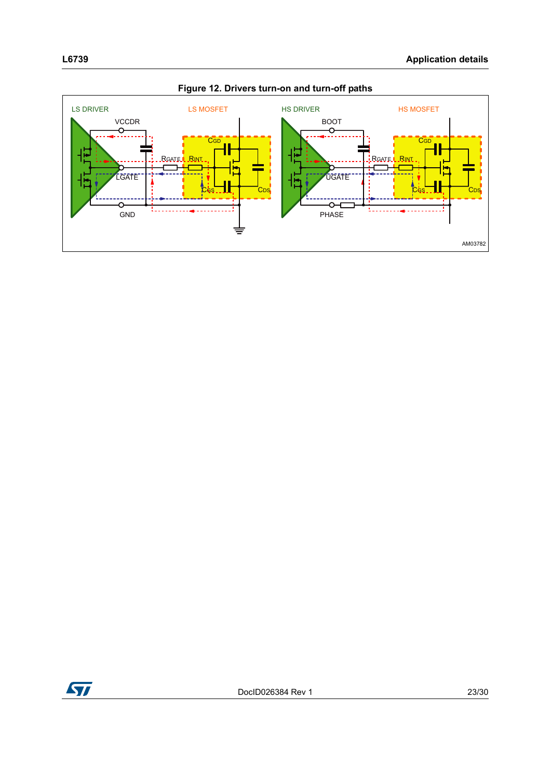

**Figure 12. Drivers turn-on and turn-off paths**

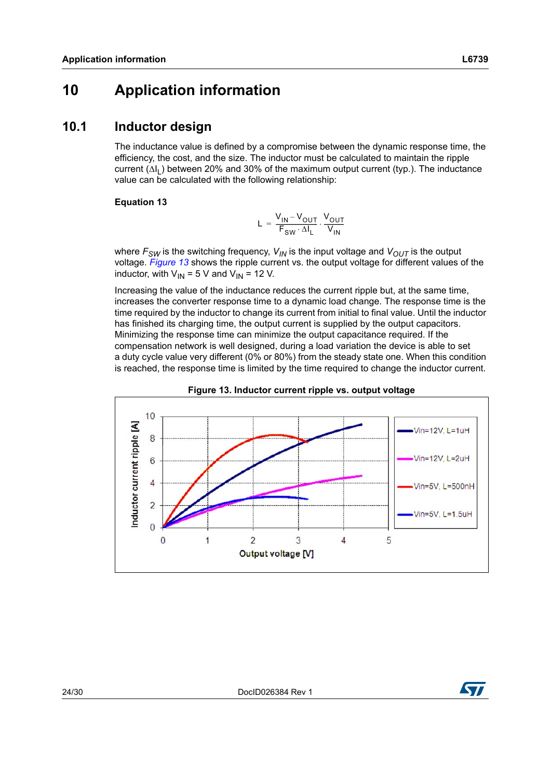# <span id="page-23-0"></span>**10 Application information**

### <span id="page-23-1"></span>**10.1 Inductor design**

The inductance value is defined by a compromise between the dynamic response time, the efficiency, the cost, and the size. The inductor must be calculated to maintain the ripple current  $(\Delta I_1)$  between 20% and 30% of the maximum output current (typ.). The inductance value can be calculated with the following relationship:

#### **Equation 13**

$$
L = \frac{V_{IN} - V_{OUT}}{F_{SW} \cdot \Delta I_L} \cdot \frac{V_{OUT}}{V_{IN}}
$$

where  $F_{SW}$  is the switching frequency,  $V_{IN}$  is the input voltage and  $V_{OUT}$  is the output voltage. *[Figure 13](#page-23-2)* shows the ripple current vs. the output voltage for different values of the inductor, with  $V_{IN} = 5 V$  and  $V_{IN} = 12 V$ .

Increasing the value of the inductance reduces the current ripple but, at the same time, increases the converter response time to a dynamic load change. The response time is the time required by the inductor to change its current from initial to final value. Until the inductor has finished its charging time, the output current is supplied by the output capacitors. Minimizing the response time can minimize the output capacitance required. If the compensation network is well designed, during a load variation the device is able to set a duty cycle value very different (0% or 80%) from the steady state one. When this condition is reached, the response time is limited by the time required to change the inductor current.

<span id="page-23-2"></span>



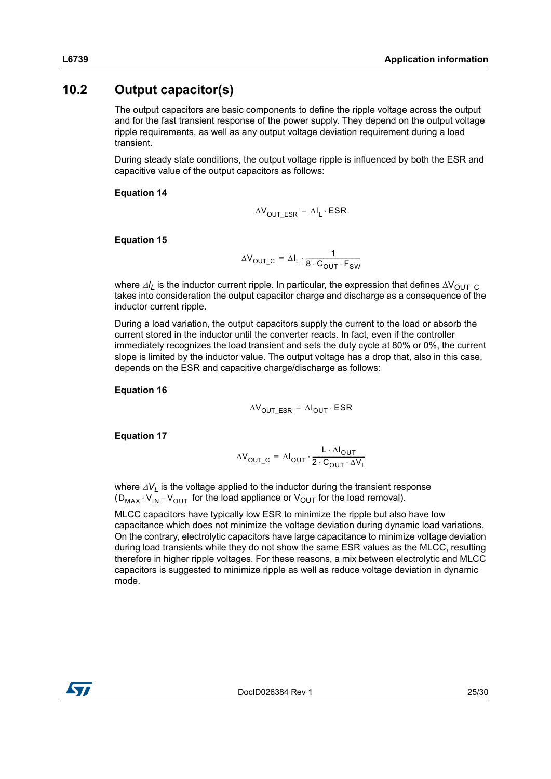### <span id="page-24-0"></span>**10.2 Output capacitor(s)**

The output capacitors are basic components to define the ripple voltage across the output and for the fast transient response of the power supply. They depend on the output voltage ripple requirements, as well as any output voltage deviation requirement during a load transient.

During steady state conditions, the output voltage ripple is influenced by both the ESR and capacitive value of the output capacitors as follows:

#### **Equation 14**

$$
\Delta V_{\text{OUT\_ESR}} = \Delta I_L \cdot \text{ESR}
$$

#### **Equation 15**

$$
\Delta V_{\text{OUT\_C}} = \Delta I_{L} \cdot \frac{1}{8 \cdot C_{\text{OUT}} \cdot F_{\text{SW}}}
$$

where  $\Delta l_l$  is the inductor current ripple. In particular, the expression that defines  $\Delta V_{\text{OUTC}}$ takes into consideration the output capacitor charge and discharge as a consequence of the inductor current ripple.

During a load variation, the output capacitors supply the current to the load or absorb the current stored in the inductor until the converter reacts. In fact, even if the controller immediately recognizes the load transient and sets the duty cycle at 80% or 0%, the current slope is limited by the inductor value. The output voltage has a drop that, also in this case, depends on the ESR and capacitive charge/discharge as follows:

#### **Equation 16**

$$
\Delta V_{\text{OUT\_ESR}} = \Delta I_{\text{OUT}} \cdot \text{ESR}
$$

**Equation 17**

$$
\Delta V_{OUT\_C} = \Delta I_{OUT} \cdot \frac{L \cdot \Delta I_{OUT}}{2 \cdot C_{OUT} \cdot \Delta V_L}
$$

where  $\Delta V_L$  is the voltage applied to the inductor during the transient response  $(D_{MAX} \cdot V_{IN} - V_{OUT}$  for the load appliance or  $V_{OUT}$  for the load removal).

MLCC capacitors have typically low ESR to minimize the ripple but also have low capacitance which does not minimize the voltage deviation during dynamic load variations. On the contrary, electrolytic capacitors have large capacitance to minimize voltage deviation during load transients while they do not show the same ESR values as the MLCC, resulting therefore in higher ripple voltages. For these reasons, a mix between electrolytic and MLCC capacitors is suggested to minimize ripple as well as reduce voltage deviation in dynamic mode.

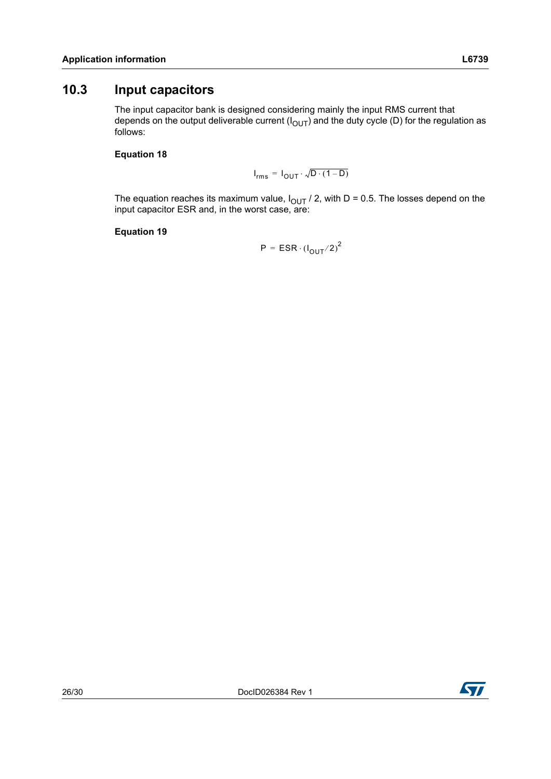### <span id="page-25-0"></span>**10.3 Input capacitors**

The input capacitor bank is designed considering mainly the input RMS current that depends on the output deliverable current  $(I<sub>OUT</sub>)$  and the duty cycle (D) for the regulation as follows:

#### **Equation 18**

 $I_{rms} = I_{OUT} \cdot \sqrt{D} \cdot (1 - D)$ 

The equation reaches its maximum value,  $I_{\text{OUT}}$  / 2, with D = 0.5. The losses depend on the input capacitor ESR and, in the worst case, are:

**Equation 19**

 $P = ESR \cdot (I_{\text{OUT}}/2)^2$ 

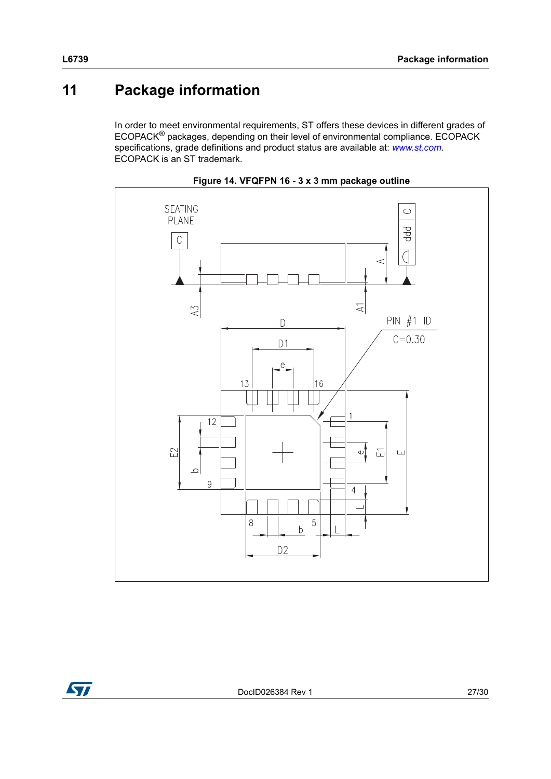# <span id="page-26-0"></span>**11 Package information**

In order to meet environmental requirements, ST offers these devices in different grades of ECOPACK® packages, depending on their level of environmental compliance. ECOPACK specifications, grade definitions and product status are available at: *[www.st.com](http://www.st.com)*. ECOPACK is an ST trademark.



**Figure 14. VFQFPN 16 - 3 x 3 mm package outline**

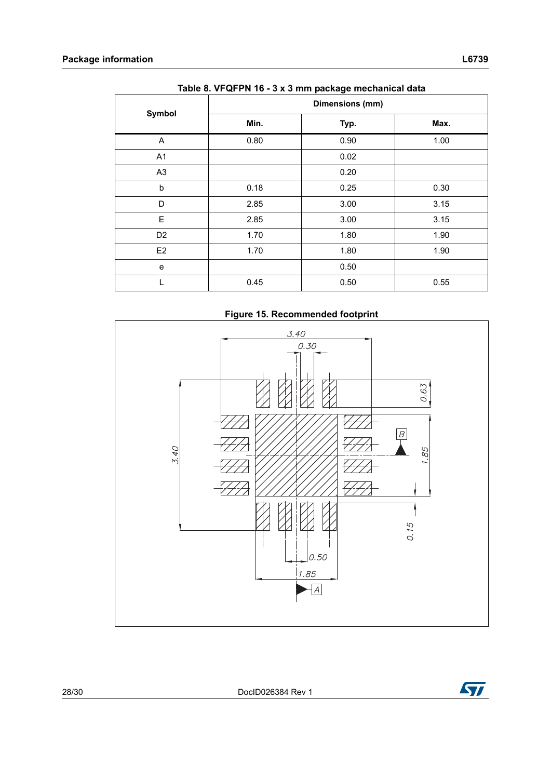| Table 0. VI QT FIV TO - 3 A 3 ITHIT package INCCHANGE Gata |                 |      |      |  |  |  |
|------------------------------------------------------------|-----------------|------|------|--|--|--|
|                                                            | Dimensions (mm) |      |      |  |  |  |
| Symbol                                                     | Min.            | Typ. | Max. |  |  |  |
| A                                                          | 0.80            | 0.90 | 1.00 |  |  |  |
| A1                                                         |                 | 0.02 |      |  |  |  |
| A <sub>3</sub>                                             |                 | 0.20 |      |  |  |  |
| b                                                          | 0.18            | 0.25 | 0.30 |  |  |  |
| D                                                          | 2.85            | 3.00 | 3.15 |  |  |  |
| E                                                          | 2.85            | 3.00 | 3.15 |  |  |  |
| D <sub>2</sub>                                             | 1.70            | 1.80 | 1.90 |  |  |  |
| E <sub>2</sub>                                             | 1.70            | 1.80 | 1.90 |  |  |  |
| e                                                          |                 | 0.50 |      |  |  |  |
|                                                            | 0.45            | 0.50 | 0.55 |  |  |  |

**Table 8. VFQFPN 16 - 3 x 3 mm package mechanical data** 

**Figure 15. Recommended footprint**

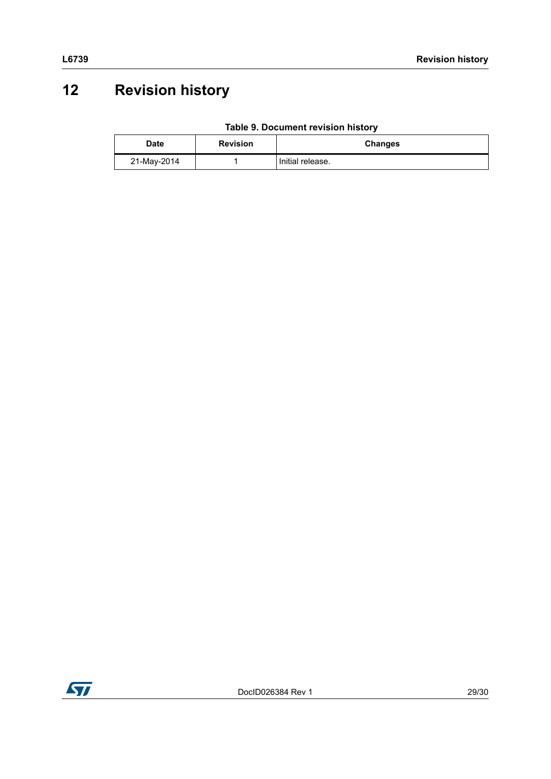# <span id="page-28-0"></span>**12 Revision history**

| Table 9. Document revision history |
|------------------------------------|
|------------------------------------|

| Date        | <b>Revision</b> | Changes          |
|-------------|-----------------|------------------|
| 21-May-2014 |                 | Initial release. |